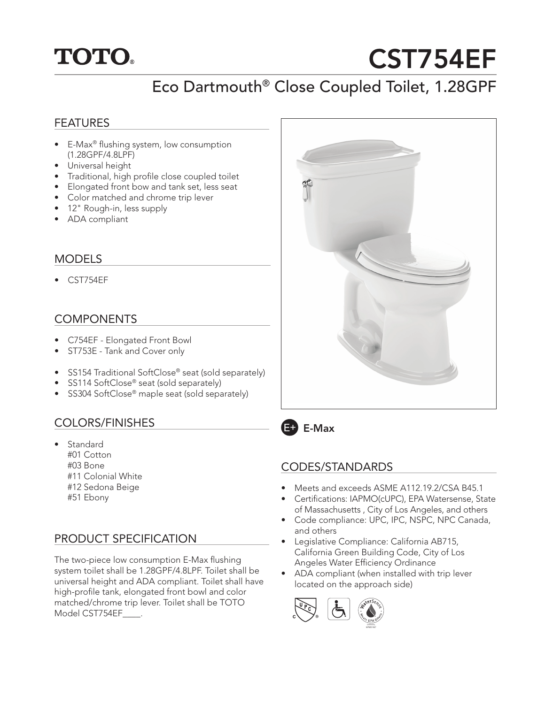

# CST754EF

# Eco Dartmouth® Close Coupled Toilet, 1.28GPF

#### FEATURES

- E-Max<sup>®</sup> flushing system, low consumption (1.28GPF/4.8LPF)
- Universal height
- Traditional, high profile close coupled toilet
- Elongated front bow and tank set, less seat
- Color matched and chrome trip lever
- 12" Rough-in, less supply
- ADA compliant

#### MODELS

• CST754EF

### COMPONENTS

- C754EF Elongated Front Bowl
- ST753E Tank and Cover only
- SS154 Traditional SoftClose® seat (sold separately)
- SS114 SoftClose® seat (sold separately)
- SS304 SoftClose® maple seat (sold separately)

### COLORS/FINISHES

- Standard
	- #01 Cotton
	- #03 Bone
	- #11 Colonial White
	- #12 Sedona Beige
	- #51 Ebony

## PRODUCT SPECIFICATION

The two-piece low consumption E-Max flushing system toilet shall be 1.28GPF/4.8LPF. Toilet shall be universal height and ADA compliant. Toilet shall have high-profile tank, elongated front bowl and color matched/chrome trip lever. Toilet shall be TOTO Model CST754EF\_\_\_\_.





#### CODES/STANDARDS

- Meets and exceeds ASME A112.19.2/CSA B45.1
- Certifications: IAPMO(cUPC), EPA Watersense, State of Massachusetts , City of Los Angeles, and others
- Code compliance: UPC, IPC, NSPC, NPC Canada, and others
- Legislative Compliance: California AB715, California Green Building Code, City of Los Angeles Water Efficiency Ordinance
- ADA compliant (when installed with trip lever located on the approach side)